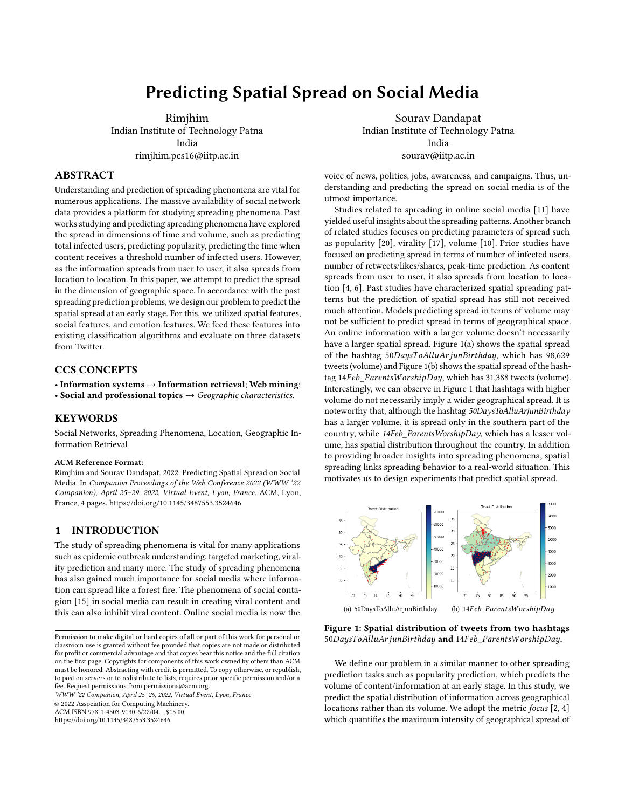# Predicting Spatial Spread on Social Media

Rimjhim Indian Institute of Technology Patna India rimjhim.pcs16@iitp.ac.in

# ABSTRACT

Understanding and prediction of spreading phenomena are vital for numerous applications. The massive availability of social network data provides a platform for studying spreading phenomena. Past works studying and predicting spreading phenomena have explored the spread in dimensions of time and volume, such as predicting total infected users, predicting popularity, predicting the time when content receives a threshold number of infected users. However, as the information spreads from user to user, it also spreads from location to location. In this paper, we attempt to predict the spread in the dimension of geographic space. In accordance with the past spreading prediction problems, we design our problem to predict the spatial spread at an early stage. For this, we utilized spatial features, social features, and emotion features. We feed these features into existing classification algorithms and evaluate on three datasets from Twitter.

## CCS CONCEPTS

• Information systems  $\rightarrow$  Information retrieval; Web mining;

• Social and professional topics  $\rightarrow$  Geographic characteristics.

# **KEYWORDS**

Social Networks, Spreading Phenomena, Location, Geographic Information Retrieval

#### ACM Reference Format:

Rimjhim and Sourav Dandapat. 2022. Predicting Spatial Spread on Social Media. In Companion Proceedings of the Web Conference 2022 (WWW '22 Companion), April 25–29, 2022, Virtual Event, Lyon, France. ACM, Lyon, France, [4](#page-3-0) pages.<https://doi.org/10.1145/3487553.3524646>

## 1 INTRODUCTION

The study of spreading phenomena is vital for many applications such as epidemic outbreak understanding, targeted marketing, virality prediction and many more. The study of spreading phenomena has also gained much importance for social media where information can spread like a forest fire. The phenomena of social contagion [\[15\]](#page-3-1) in social media can result in creating viral content and this can also inhibit viral content. Online social media is now the

WWW '22 Companion, April 25–29, 2022, Virtual Event, Lyon, France

© 2022 Association for Computing Machinery.

ACM ISBN 978-1-4503-9130-6/22/04. . . \$15.00

<https://doi.org/10.1145/3487553.3524646>

Sourav Dandapat Indian Institute of Technology Patna India sourav@iitp.ac.in

voice of news, politics, jobs, awareness, and campaigns. Thus, understanding and predicting the spread on social media is of the utmost importance.

Studies related to spreading in online social media [\[11\]](#page-3-2) have yielded useful insights about the spreading patterns. Another branch of related studies focuses on predicting parameters of spread such as popularity [\[20\]](#page-3-3), virality [\[17\]](#page-3-4), volume [\[10\]](#page-3-5). Prior studies have focused on predicting spread in terms of number of infected users, number of retweets/likes/shares, peak-time prediction. As content spreads from user to user, it also spreads from location to location [\[4,](#page-3-6) [6\]](#page-3-7). Past studies have characterized spatial spreading patterns but the prediction of spatial spread has still not received much attention. Models predicting spread in terms of volume may not be sufficient to predict spread in terms of geographical space. An online information with a larger volume doesn't necessarily have a larger spatial spread. Figure [1\(a\)](#page-0-0) shows the spatial spread of the hashtag 50DaysToAlluArjunBirthday, which has 98,629 tweets (volume) and Figure [1\(b\)](#page-0-1) shows the spatial spread of the hashtag 14Feb\_ParentsWorshipDay, which has 31,388 tweets (volume). Interestingly, we can observe in Figure [1](#page-0-2) that hashtags with higher volume do not necessarily imply a wider geographical spread. It is noteworthy that, although the hashtag 50DaysToAlluArjunBirthday has a larger volume, it is spread only in the southern part of the country, while 14Feb\_ParentsWorshipDay, which has a lesser volume, has spatial distribution throughout the country. In addition to providing broader insights into spreading phenomena, spatial spreading links spreading behavior to a real-world situation. This motivates us to design experiments that predict spatial spread.

<span id="page-0-2"></span><span id="page-0-0"></span>

<span id="page-0-1"></span>Figure 1: Spatial distribution of tweets from two hashtags 50 Days To Allu Ar jun Birthday and 14 Feb Parents Worship Day.

We define our problem in a similar manner to other spreading prediction tasks such as popularity prediction, which predicts the volume of content/information at an early stage. In this study, we predict the spatial distribution of information across geographical locations rather than its volume. We adopt the metric focus [\[2,](#page-3-8) [4\]](#page-3-6) which quantifies the maximum intensity of geographical spread of

Permission to make digital or hard copies of all or part of this work for personal or classroom use is granted without fee provided that copies are not made or distributed for profit or commercial advantage and that copies bear this notice and the full citation on the first page. Copyrights for components of this work owned by others than ACM must be honored. Abstracting with credit is permitted. To copy otherwise, or republish, to post on servers or to redistribute to lists, requires prior specific permission and/or a fee. Request permissions from permissions@acm.org.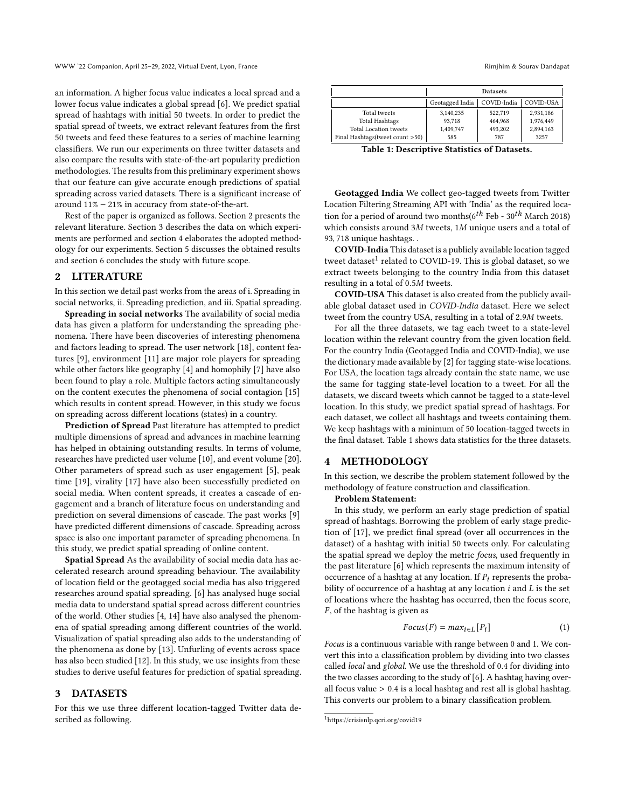an information. A higher focus value indicates a local spread and a lower focus value indicates a global spread [\[6\]](#page-3-7). We predict spatial spread of hashtags with initial 50 tweets. In order to predict the spatial spread of tweets, we extract relevant features from the first 50 tweets and feed these features to a series of machine learning classifiers. We run our experiments on three twitter datasets and also compare the results with state-of-the-art popularity prediction methodologies. The results from this preliminary experiment shows that our feature can give accurate enough predictions of spatial spreading across varied datasets. There is a significant increase of around 11% − 21% in accuracy from state-of-the-art.

Rest of the paper is organized as follows. Section [2](#page-1-0) presents the relevant literature. Section [3](#page-1-1) describes the data on which experiments are performed and section [4](#page-1-2) elaborates the adopted methodology for our experiments. Section [5](#page-2-0) discusses the obtained results and section [6](#page-3-9) concludes the study with future scope.

#### <span id="page-1-0"></span>2 LITERATURE

In this section we detail past works from the areas of i. Spreading in social networks, ii. Spreading prediction, and iii. Spatial spreading.

Spreading in social networks The availability of social media data has given a platform for understanding the spreading phenomena. There have been discoveries of interesting phenomena and factors leading to spread. The user network [\[18\]](#page-3-10), content features [\[9\]](#page-3-11), environment [\[11\]](#page-3-2) are major role players for spreading while other factors like geography [\[4\]](#page-3-6) and homophily [\[7\]](#page-3-12) have also been found to play a role. Multiple factors acting simultaneously on the content executes the phenomena of social contagion [\[15\]](#page-3-1) which results in content spread. However, in this study we focus on spreading across different locations (states) in a country.

Prediction of Spread Past literature has attempted to predict multiple dimensions of spread and advances in machine learning has helped in obtaining outstanding results. In terms of volume, researches have predicted user volume [\[10\]](#page-3-5), and event volume [\[20\]](#page-3-3). Other parameters of spread such as user engagement [\[5\]](#page-3-13), peak time [\[19\]](#page-3-14), virality [\[17\]](#page-3-4) have also been successfully predicted on social media. When content spreads, it creates a cascade of engagement and a branch of literature focus on understanding and prediction on several dimensions of cascade. The past works [\[9\]](#page-3-11) have predicted different dimensions of cascade. Spreading across space is also one important parameter of spreading phenomena. In this study, we predict spatial spreading of online content.

Spatial Spread As the availability of social media data has accelerated research around spreading behaviour. The availability of location field or the geotagged social media has also triggered researches around spatial spreading. [\[6\]](#page-3-7) has analysed huge social media data to understand spatial spread across different countries of the world. Other studies [\[4,](#page-3-6) [14\]](#page-3-15) have also analysed the phenomena of spatial spreading among different countries of the world. Visualization of spatial spreading also adds to the understanding of the phenomena as done by [\[13\]](#page-3-16). Unfurling of events across space has also been studied [\[12\]](#page-3-17). In this study, we use insights from these studies to derive useful features for prediction of spatial spreading.

### <span id="page-1-1"></span>3 DATASETS

For this we use three different location-tagged Twitter data described as following.

<span id="page-1-4"></span>

|                                  | <b>Datasets</b> |             |           |  |  |
|----------------------------------|-----------------|-------------|-----------|--|--|
|                                  | Geotagged India | COVID-India | COVID-USA |  |  |
| Total tweets                     | 3,140,235       | 522.719     | 2,931,186 |  |  |
| <b>Total Hashtags</b>            | 93.718          | 464.968     | 1,976,449 |  |  |
| <b>Total Location tweets</b>     | 1,409,747       | 493.202     | 2,894,163 |  |  |
| Final Hashtags (tweet count >50) | 585             | 787         | 3257      |  |  |

Table 1: Descriptive Statistics of Datasets.

Geotagged India We collect geo-tagged tweets from Twitter Location Filtering Streaming API with 'India' as the required location for a period of around two months( $6^{th}$  Feb - 30<sup>th</sup> March 2018) which consists around  $3M$  tweets,  $1M$  unique users and a total of 93, 718 unique hashtags. .

COVID-India This dataset is a publicly available location tagged tweet dataset<sup>[1](#page-1-3)</sup> related to COVID-19. This is global dataset, so we extract tweets belonging to the country India from this dataset resulting in a total of  $0.5M$  tweets.

COVID-USA This dataset is also created from the publicly available global dataset used in COVID-India dataset. Here we select tweet from the country USA, resulting in a total of 2.9M tweets.

For all the three datasets, we tag each tweet to a state-level location within the relevant country from the given location field. For the country India (Geotagged India and COVID-India), we use the dictionary made available by [\[2\]](#page-3-8) for tagging state-wise locations. For USA, the location tags already contain the state name, we use the same for tagging state-level location to a tweet. For all the datasets, we discard tweets which cannot be tagged to a state-level location. In this study, we predict spatial spread of hashtags. For each dataset, we collect all hashtags and tweets containing them. We keep hashtags with a minimum of 50 location-tagged tweets in the final dataset. Table [1](#page-1-4) shows data statistics for the three datasets.

## <span id="page-1-2"></span>4 METHODOLOGY

In this section, we describe the problem statement followed by the methodology of feature construction and classification.

## Problem Statement:

In this study, we perform an early stage prediction of spatial spread of hashtags. Borrowing the problem of early stage prediction of [\[17\]](#page-3-4), we predict final spread (over all occurrences in the dataset) of a hashtag with initial 50 tweets only. For calculating the spatial spread we deploy the metric focus, used frequently in the past literature [\[6\]](#page-3-7) which represents the maximum intensity of occurrence of a hashtag at any location. If  $P_i$  represents the probability of occurrence of a hashtag at any location  $i$  and  $L$  is the set of locations where the hashtag has occurred, then the focus score,  $F$ , of the hashtag is given as

<span id="page-1-5"></span>
$$
Focus(F) = max_{i \in L} [P_i]
$$
 (1)

Focus is a continuous variable with range between 0 and 1. We convert this into a classification problem by dividing into two classes called local and global. We use the threshold of 0.4 for dividing into the two classes according to the study of [\[6\]](#page-3-7). A hashtag having overall focus value > 0.4 is a local hashtag and rest all is global hashtag. This converts our problem to a binary classification problem.

<span id="page-1-3"></span><sup>1</sup>https://crisisnlp.qcri.org/covid19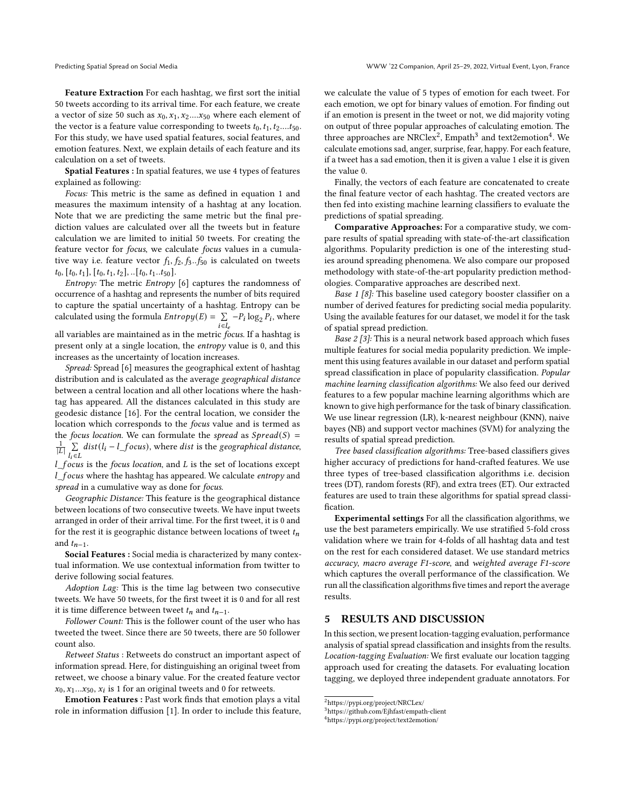Feature Extraction For each hashtag, we first sort the initial 50 tweets according to its arrival time. For each feature, we create a vector of size 50 such as  $x_0, x_1, x_2...x_{50}$  where each element of the vector is a feature value corresponding to tweets  $t_0, t_1, t_2,...t_{50}$ . For this study, we have used spatial features, social features, and emotion features. Next, we explain details of each feature and its calculation on a set of tweets.

Spatial Features : In spatial features, we use 4 types of features explained as following:

Focus: This metric is the same as defined in equation [1](#page-1-5) and measures the maximum intensity of a hashtag at any location. Note that we are predicting the same metric but the final prediction values are calculated over all the tweets but in feature calculation we are limited to initial 50 tweets. For creating the feature vector for focus, we calculate focus values in a cumulative way i.e. feature vector  $f_1, f_2, f_3..f_{50}$  is calculated on tweets  $t_0$ ,  $[t_0, t_1]$ ,  $[t_0, t_1, t_2]$ , .. $[t_0, t_1..t_{50}]$ .

*Entropy:* The metric *Entropy* [\[6\]](#page-3-7) captures the randomness of occurrence of a hashtag and represents the number of bits required to capture the spatial uncertainty of a hashtag. Entropy can be calculated using the formula  $Entropy(E) = \sum_{i \in I_e} -P_i \log_2 P_i$ , where all variables are maintained as in the metric focus. If a hashtag is present only at a single location, the entropy value is 0, and this increases as the uncertainty of location increases.

Spread: Spread [\[6\]](#page-3-7) measures the geographical extent of hashtag distribution and is calculated as the average geographical distance between a central location and all other locations where the hashtag has appeared. All the distances calculated in this study are geodesic distance [\[16\]](#page-3-18). For the central location, we consider the location which corresponds to the focus value and is termed as the focus location. We can formulate the spread as  $Spread(S)$  =  $\frac{1}{|L|} \sum_{l_i \in L} dist(l_i - l\_focus)$ , where dist is the geographical distance,

 $l$  focus is the focus location, and  $L$  is the set of locations except  $l$  focus where the hashtag has appeared. We calculate entropy and spread in a cumulative way as done for focus.

Geographic Distance: This feature is the geographical distance between locations of two consecutive tweets. We have input tweets arranged in order of their arrival time. For the first tweet, it is 0 and for the rest it is geographic distance between locations of tweet  $t_n$ and  $t_{n-1}$ .

Social Features : Social media is characterized by many contextual information. We use contextual information from twitter to derive following social features.

Adoption Lag: This is the time lag between two consecutive tweets. We have 50 tweets, for the first tweet it is 0 and for all rest it is time difference between tweet  $t_n$  and  $t_{n-1}$ .

Follower Count: This is the follower count of the user who has tweeted the tweet. Since there are 50 tweets, there are 50 follower count also.

Retweet Status : Retweets do construct an important aspect of information spread. Here, for distinguishing an original tweet from retweet, we choose a binary value. For the created feature vector  $x_0, x_1...x_{50}, x_i$  is 1 for an original tweets and 0 for retweets.

Emotion Features : Past work finds that emotion plays a vital role in information diffusion [\[1\]](#page-3-19). In order to include this feature, we calculate the value of 5 types of emotion for each tweet. For each emotion, we opt for binary values of emotion. For finding out if an emotion is present in the tweet or not, we did majority voting on output of three popular approaches of calculating emotion. The three approaches are NRClex $^2$  $^2$ , Empath $^3$  $^3$  and text2emotion $^4$  $^4$ . We calculate emotions sad, anger, surprise, fear, happy. For each feature, if a tweet has a sad emotion, then it is given a value 1 else it is given the value 0.

Finally, the vectors of each feature are concatenated to create the final feature vector of each hashtag. The created vectors are then fed into existing machine learning classifiers to evaluate the predictions of spatial spreading.

Comparative Approaches: For a comparative study, we compare results of spatial spreading with state-of-the-art classification algorithms. Popularity prediction is one of the interesting studies around spreading phenomena. We also compare our proposed methodology with state-of-the-art popularity prediction methodologies. Comparative approaches are described next.

Base 1 [\[8\]](#page-3-20): This baseline used category booster classifier on a number of derived features for predicting social media popularity. Using the available features for our dataset, we model it for the task of spatial spread prediction.

Base 2 [\[3\]](#page-3-21): This is a neural network based approach which fuses multiple features for social media popularity prediction. We implement this using features available in our dataset and perform spatial spread classification in place of popularity classification. Popular machine learning classification algorithms: We also feed our derived features to a few popular machine learning algorithms which are known to give high performance for the task of binary classification. We use linear regression (LR), k-nearest neighbour (KNN), naive bayes (NB) and support vector machines (SVM) for analyzing the results of spatial spread prediction.

Tree based classification algorithms: Tree-based classifiers gives higher accuracy of predictions for hand-crafted features. We use three types of tree-based classification algorithms i.e. decision trees (DT), random forests (RF), and extra trees (ET). Our extracted features are used to train these algorithms for spatial spread classification.

Experimental settings For all the classification algorithms, we use the best parameters empirically. We use stratified 5-fold cross validation where we train for 4-folds of all hashtag data and test on the rest for each considered dataset. We use standard metrics accuracy, macro average F1-score, and weighted average F1-score which captures the overall performance of the classification. We run all the classification algorithms five times and report the average results.

## <span id="page-2-0"></span>5 RESULTS AND DISCUSSION

In this section, we present location-tagging evaluation, performance analysis of spatial spread classification and insights from the results. Location-tagging Evaluation: We first evaluate our location tagging approach used for creating the datasets. For evaluating location tagging, we deployed three independent graduate annotators. For

<span id="page-2-3"></span><sup>4</sup>https://pypi.org/project/text2emotion/

<span id="page-2-2"></span><span id="page-2-1"></span> $^2$ https://pypi.org/project/NRCLex/

<sup>3</sup>https://github.com/Ejhfast/empath-client